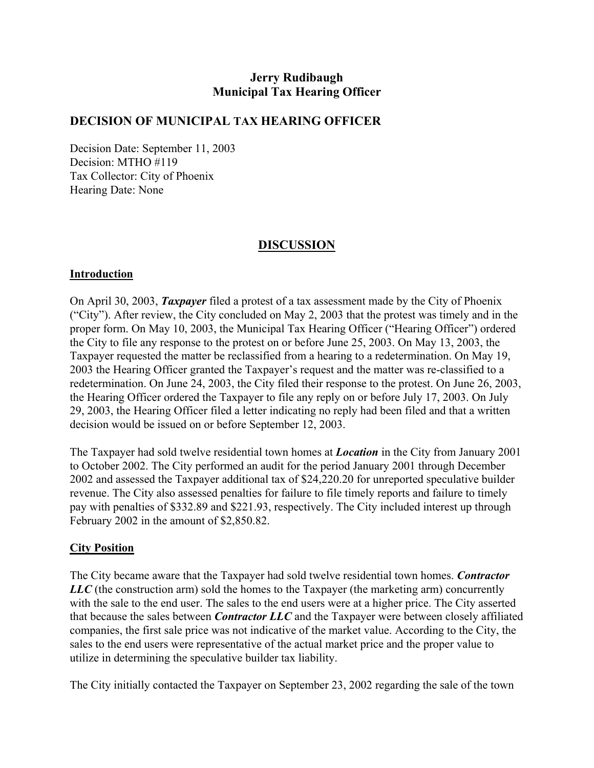# **Jerry Rudibaugh Municipal Tax Hearing Officer**

## **DECISION OF MUNICIPAL TAX HEARING OFFICER**

Decision Date: September 11, 2003 Decision: MTHO #119 Tax Collector: City of Phoenix Hearing Date: None

# **DISCUSSION**

### **Introduction**

On April 30, 2003, *Taxpayer* filed a protest of a tax assessment made by the City of Phoenix ("City"). After review, the City concluded on May 2, 2003 that the protest was timely and in the proper form. On May 10, 2003, the Municipal Tax Hearing Officer ("Hearing Officer") ordered the City to file any response to the protest on or before June 25, 2003. On May 13, 2003, the Taxpayer requested the matter be reclassified from a hearing to a redetermination. On May 19, 2003 the Hearing Officer granted the Taxpayer's request and the matter was re-classified to a redetermination. On June 24, 2003, the City filed their response to the protest. On June 26, 2003, the Hearing Officer ordered the Taxpayer to file any reply on or before July 17, 2003. On July 29, 2003, the Hearing Officer filed a letter indicating no reply had been filed and that a written decision would be issued on or before September 12, 2003.

The Taxpayer had sold twelve residential town homes at *Location* in the City from January 2001 to October 2002. The City performed an audit for the period January 2001 through December 2002 and assessed the Taxpayer additional tax of \$24,220.20 for unreported speculative builder revenue. The City also assessed penalties for failure to file timely reports and failure to timely pay with penalties of \$332.89 and \$221.93, respectively. The City included interest up through February 2002 in the amount of \$2,850.82.

### **City Position**

The City became aware that the Taxpayer had sold twelve residential town homes. *Contractor LLC* (the construction arm) sold the homes to the Taxpayer (the marketing arm) concurrently with the sale to the end user. The sales to the end users were at a higher price. The City asserted that because the sales between *Contractor LLC* and the Taxpayer were between closely affiliated companies, the first sale price was not indicative of the market value. According to the City, the sales to the end users were representative of the actual market price and the proper value to utilize in determining the speculative builder tax liability.

The City initially contacted the Taxpayer on September 23, 2002 regarding the sale of the town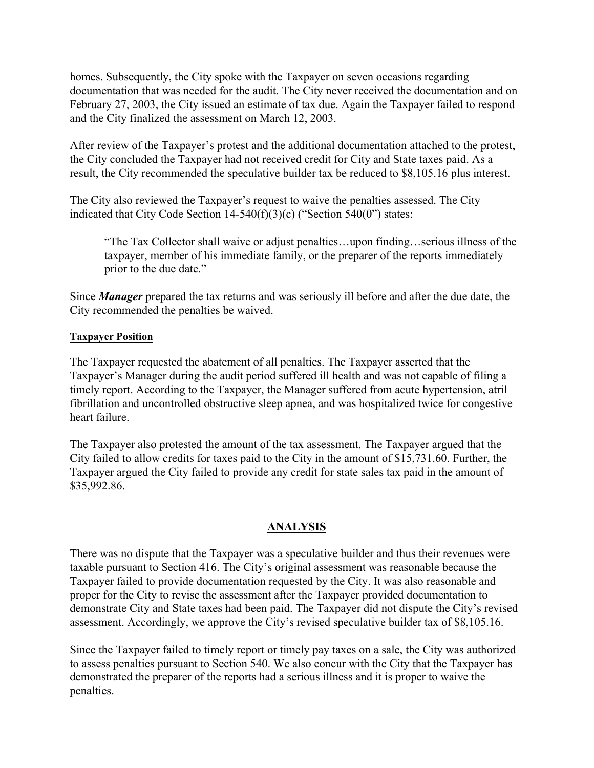homes. Subsequently, the City spoke with the Taxpayer on seven occasions regarding documentation that was needed for the audit. The City never received the documentation and on February 27, 2003, the City issued an estimate of tax due. Again the Taxpayer failed to respond and the City finalized the assessment on March 12, 2003.

After review of the Taxpayer's protest and the additional documentation attached to the protest, the City concluded the Taxpayer had not received credit for City and State taxes paid. As a result, the City recommended the speculative builder tax be reduced to \$8,105.16 plus interest.

The City also reviewed the Taxpayer's request to waive the penalties assessed. The City indicated that City Code Section 14-540(f)(3)(c) ("Section 540(0") states:

"The Tax Collector shall waive or adjust penalties…upon finding…serious illness of the taxpayer, member of his immediate family, or the preparer of the reports immediately prior to the due date."

Since *Manager* prepared the tax returns and was seriously ill before and after the due date, the City recommended the penalties be waived.

#### **Taxpayer Position**

The Taxpayer requested the abatement of all penalties. The Taxpayer asserted that the Taxpayer's Manager during the audit period suffered ill health and was not capable of filing a timely report. According to the Taxpayer, the Manager suffered from acute hypertension, atril fibrillation and uncontrolled obstructive sleep apnea, and was hospitalized twice for congestive heart failure.

The Taxpayer also protested the amount of the tax assessment. The Taxpayer argued that the City failed to allow credits for taxes paid to the City in the amount of \$15,731.60. Further, the Taxpayer argued the City failed to provide any credit for state sales tax paid in the amount of \$35,992.86.

### **ANALYSIS**

There was no dispute that the Taxpayer was a speculative builder and thus their revenues were taxable pursuant to Section 416. The City's original assessment was reasonable because the Taxpayer failed to provide documentation requested by the City. It was also reasonable and proper for the City to revise the assessment after the Taxpayer provided documentation to demonstrate City and State taxes had been paid. The Taxpayer did not dispute the City's revised assessment. Accordingly, we approve the City's revised speculative builder tax of \$8,105.16.

Since the Taxpayer failed to timely report or timely pay taxes on a sale, the City was authorized to assess penalties pursuant to Section 540. We also concur with the City that the Taxpayer has demonstrated the preparer of the reports had a serious illness and it is proper to waive the penalties.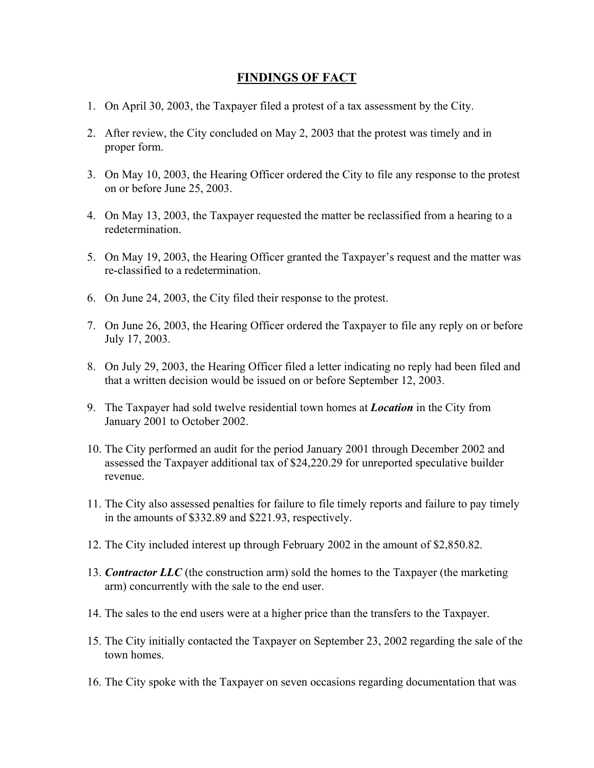## **FINDINGS OF FACT**

- 1. On April 30, 2003, the Taxpayer filed a protest of a tax assessment by the City.
- 2. After review, the City concluded on May 2, 2003 that the protest was timely and in proper form.
- 3. On May 10, 2003, the Hearing Officer ordered the City to file any response to the protest on or before June 25, 2003.
- 4. On May 13, 2003, the Taxpayer requested the matter be reclassified from a hearing to a redetermination.
- 5. On May 19, 2003, the Hearing Officer granted the Taxpayer's request and the matter was re-classified to a redetermination.
- 6. On June 24, 2003, the City filed their response to the protest.
- 7. On June 26, 2003, the Hearing Officer ordered the Taxpayer to file any reply on or before July 17, 2003.
- 8. On July 29, 2003, the Hearing Officer filed a letter indicating no reply had been filed and that a written decision would be issued on or before September 12, 2003.
- 9. The Taxpayer had sold twelve residential town homes at *Location* in the City from January 2001 to October 2002.
- 10. The City performed an audit for the period January 2001 through December 2002 and assessed the Taxpayer additional tax of \$24,220.29 for unreported speculative builder revenue.
- 11. The City also assessed penalties for failure to file timely reports and failure to pay timely in the amounts of \$332.89 and \$221.93, respectively.
- 12. The City included interest up through February 2002 in the amount of \$2,850.82.
- 13. *Contractor LLC* (the construction arm) sold the homes to the Taxpayer (the marketing arm) concurrently with the sale to the end user.
- 14. The sales to the end users were at a higher price than the transfers to the Taxpayer.
- 15. The City initially contacted the Taxpayer on September 23, 2002 regarding the sale of the town homes.
- 16. The City spoke with the Taxpayer on seven occasions regarding documentation that was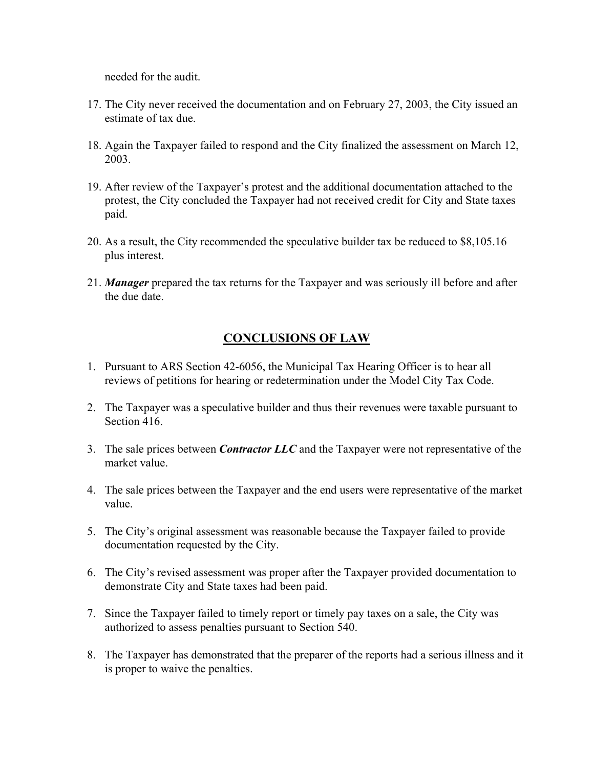needed for the audit.

- 17. The City never received the documentation and on February 27, 2003, the City issued an estimate of tax due.
- 18. Again the Taxpayer failed to respond and the City finalized the assessment on March 12, 2003.
- 19. After review of the Taxpayer's protest and the additional documentation attached to the protest, the City concluded the Taxpayer had not received credit for City and State taxes paid.
- 20. As a result, the City recommended the speculative builder tax be reduced to \$8,105.16 plus interest.
- 21. *Manager* prepared the tax returns for the Taxpayer and was seriously ill before and after the due date.

# **CONCLUSIONS OF LAW**

- 1. Pursuant to ARS Section 42-6056, the Municipal Tax Hearing Officer is to hear all reviews of petitions for hearing or redetermination under the Model City Tax Code.
- 2. The Taxpayer was a speculative builder and thus their revenues were taxable pursuant to Section 416.
- 3. The sale prices between *Contractor LLC* and the Taxpayer were not representative of the market value.
- 4. The sale prices between the Taxpayer and the end users were representative of the market value.
- 5. The City's original assessment was reasonable because the Taxpayer failed to provide documentation requested by the City.
- 6. The City's revised assessment was proper after the Taxpayer provided documentation to demonstrate City and State taxes had been paid.
- 7. Since the Taxpayer failed to timely report or timely pay taxes on a sale, the City was authorized to assess penalties pursuant to Section 540.
- 8. The Taxpayer has demonstrated that the preparer of the reports had a serious illness and it is proper to waive the penalties.